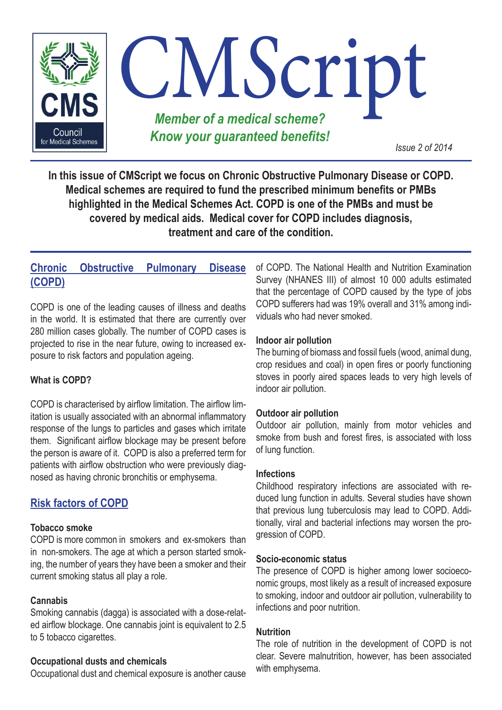

**In this issue of CMScript we focus on Chronic Obstructive Pulmonary Disease or COPD. Medical schemes are required to fund the prescribed minimum benefits or PMBs highlighted in the Medical Schemes Act. COPD is one of the PMBs and must be covered by medical aids. Medical cover for COPD includes diagnosis, treatment and care of the condition.**

## **Chronic Obstructive Pulmonary Disease (COPD)**

COPD is one of the leading causes of illness and deaths in the world. It is estimated that there are currently over 280 million cases globally. The number of COPD cases is projected to rise in the near future, owing to increased exposure to risk factors and population ageing.

#### **What is COPD?**

COPD is characterised by airflow limitation. The airflow limitation is usually associated with an abnormal inflammatory response of the lungs to particles and gases which irritate them. Significant airflow blockage may be present before the person is aware of it. COPD is also a preferred term for patients with airflow obstruction who were previously diagnosed as having chronic bronchitis or emphysema.

## **Risk factors of COPD**

#### **Tobacco smoke**

COPD is more common in smokers and ex-smokers than in non-smokers. The age at which a person started smoking, the number of years they have been a smoker and their current smoking status all play a role.

#### **Cannabis**

Smoking cannabis (dagga) is associated with a dose-related airflow blockage. One cannabis joint is equivalent to 2.5 to 5 tobacco cigarettes.

#### **Occupational dusts and chemicals**

Occupational dust and chemical exposure is another cause

of COPD. The National Health and Nutrition Examination Survey (NHANES III) of almost 10 000 adults estimated that the percentage of COPD caused by the type of jobs COPD sufferers had was 19% overall and 31% among individuals who had never smoked.

#### **Indoor air pollution**

The burning of biomass and fossil fuels (wood, animal dung, crop residues and coal) in open fires or poorly functioning stoves in poorly aired spaces leads to very high levels of indoor air pollution.

#### **Outdoor air pollution**

Outdoor air pollution, mainly from motor vehicles and smoke from bush and forest fires, is associated with loss of lung function.

#### **Infections**

Childhood respiratory infections are associated with reduced lung function in adults. Several studies have shown that previous lung tuberculosis may lead to COPD. Additionally, viral and bacterial infections may worsen the progression of COPD.

#### **Socio-economic status**

The presence of COPD is higher among lower socioeconomic groups, most likely as a result of increased exposure to smoking, indoor and outdoor air pollution, vulnerability to infections and poor nutrition.

#### **Nutrition**

The role of nutrition in the development of COPD is not clear. Severe malnutrition, however, has been associated with emphysema.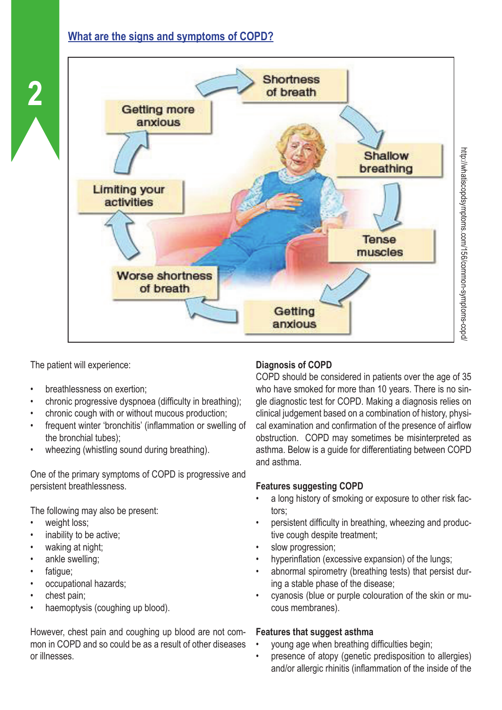# **What are the signs and symptoms of COPD?**



The patient will experience:

**2**

- breathlessness on exertion;
- chronic progressive dyspnoea (difficulty in breathing);
- chronic cough with or without mucous production;
- frequent winter 'bronchitis' (inflammation or swelling of the bronchial tubes);
- wheezing (whistling sound during breathing).

One of the primary symptoms of COPD is progressive and persistent breathlessness.

The following may also be present:

- weight loss:
- inability to be active;
- waking at night;
- ankle swelling;
- fatique;
- occupational hazards;
- chest pain;
- haemoptysis (coughing up blood).

#### However, chest pain and coughing up blood are not common in COPD and so could be as a result of other diseases or illnesses.

## **Diagnosis of COPD**

COPD should be considered in patients over the age of 35 who have smoked for more than 10 years. There is no single diagnostic test for COPD. Making a diagnosis relies on clinical judgement based on a combination of history, physical examination and confirmation of the presence of airflow obstruction. COPD may sometimes be misinterpreted as asthma. Below is a guide for differentiating between COPD and asthma.

## **Features suggesting COPD**

- a long history of smoking or exposure to other risk factors;
- persistent difficulty in breathing, wheezing and productive cough despite treatment;
- slow progression;
- hyperinflation (excessive expansion) of the lungs;
- abnormal spirometry (breathing tests) that persist during a stable phase of the disease;
- cyanosis (blue or purple colouration of the skin or mucous membranes).

## **Features that suggest asthma**

- young age when breathing difficulties begin;
- presence of atopy (genetic predisposition to allergies) and/or allergic rhinitis (inflammation of the inside of the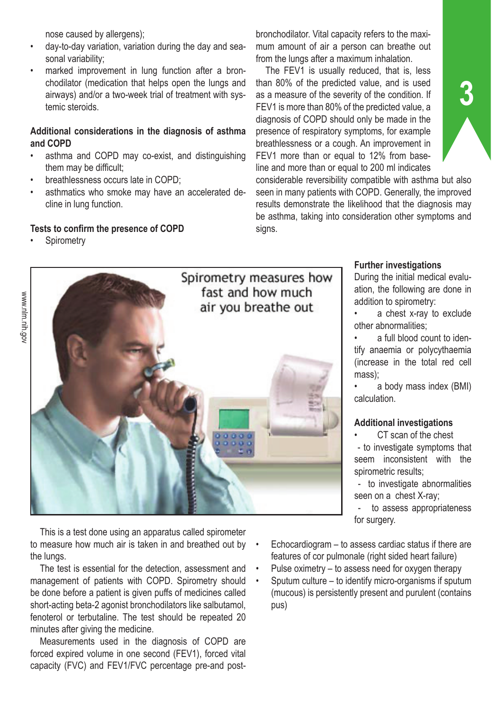nose caused by allergens);

- day-to-day variation, variation during the day and seasonal variability;
- marked improvement in lung function after a bronchodilator (medication that helps open the lungs and airways) and/or a two-week trial of treatment with systemic steroids.

#### **Additional considerations in the diagnosis of asthma and COPD**

- asthma and COPD may co-exist, and distinguishing them may be difficult;
- breathlessness occurs late in COPD;
- asthmatics who smoke may have an accelerated decline in lung function.

#### **Tests to confirm the presence of COPD**

**Spirometry** 

bronchodilator. Vital capacity refers to the maximum amount of air a person can breathe out from the lungs after a maximum inhalation.

The FEV1 is usually reduced, that is, less than 80% of the predicted value, and is used as a measure of the severity of the condition. If FEV1 is more than 80% of the predicted value, a diagnosis of COPD should only be made in the presence of respiratory symptoms, for example breathlessness or a cough. An improvement in FEV1 more than or equal to 12% from baseline and more than or equal to 200 ml indicates

considerable reversibility compatible with asthma but also seen in many patients with COPD. Generally, the improved results demonstrate the likelihood that the diagnosis may be asthma, taking into consideration other symptoms and signs.



This is a test done using an apparatus called spirometer to measure how much air is taken in and breathed out by the lungs.

The test is essential for the detection, assessment and management of patients with COPD. Spirometry should be done before a patient is given puffs of medicines called short-acting beta-2 agonist bronchodilators like salbutamol, fenoterol or terbutaline. The test should be repeated 20 minutes after giving the medicine.

Measurements used in the diagnosis of COPD are forced expired volume in one second (FEV1), forced vital capacity (FVC) and FEV1/FVC percentage pre-and post-

#### **Further investigations**

During the initial medical evaluation, the following are done in addition to spirometry:

**3**

a chest x-ray to exclude other abnormalities;

• a full blood count to identify anaemia or polycythaemia (increase in the total red cell mass);

• a body mass index (BMI) calculation.

#### **Additional investigations**

CT scan of the chest

 - to investigate symptoms that seem inconsistent with the spirometric results;

 - to investigate abnormalities seen on a chest X-ray;

 - to assess appropriateness for surgery.

- Echocardiogram to assess cardiac status if there are features of cor pulmonale (right sided heart failure)
- Pulse oximetry to assess need for oxygen therapy
- Sputum culture to identify micro-organisms if sputum (mucous) is persistently present and purulent (contains pus)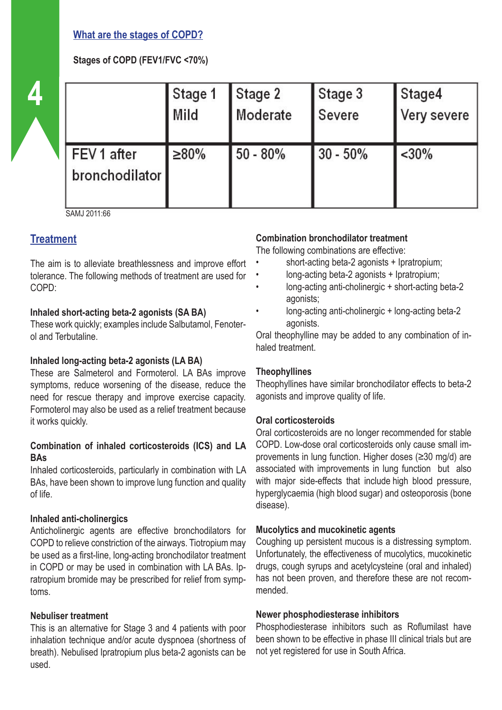## **What are the stages of COPD?**

## **Stages of COPD (FEV1/FVC <70%)**

|  |                               | Stage 1<br>Mild | Stage 2<br>Moderate | Stage 3<br>Severe | Stage4<br>Very severe |
|--|-------------------------------|-----------------|---------------------|-------------------|-----------------------|
|  | FEV 1 after<br>bronchodilator | ≥80%            | $50 - 80%$          | $30 - 50%$        | $<$ 30%               |

SAMJ 2011:66

## **Treatment**

The aim is to alleviate breathlessness and improve effort tolerance. The following methods of treatment are used for COPD:

#### **Inhaled short-acting beta-2 agonists (SA BA)**

These work quickly; examples include Salbutamol, Fenoterol and Terbutaline.

#### **Inhaled long-acting beta-2 agonists (LA BA)**

These are Salmeterol and Formoterol. LA BAs improve symptoms, reduce worsening of the disease, reduce the need for rescue therapy and improve exercise capacity. Formoterol may also be used as a relief treatment because it works quickly.

#### **Combination of inhaled corticosteroids (ICS) and LA BAs**

Inhaled corticosteroids, particularly in combination with LA BAs, have been shown to improve lung function and quality of life.

#### **Inhaled anti-cholinergics**

Anticholinergic agents are effective bronchodilators for COPD to relieve constriction of the airways. Tiotropium may be used as a first-line, long-acting bronchodilator treatment in COPD or may be used in combination with LA BAs. Ipratropium bromide may be prescribed for relief from symptoms.

#### **Nebuliser treatment**

This is an alternative for Stage 3 and 4 patients with poor inhalation technique and/or acute dyspnoea (shortness of breath). Nebulised Ipratropium plus beta-2 agonists can be used.

## **Combination bronchodilator treatment**

The following combinations are effective:

- short-acting beta-2 agonists + Ipratropium;
- long-acting beta-2 agonists + Ipratropium;
- long-acting anti-cholinergic + short-acting beta-2 agonists;
- long-acting anti-cholinergic + long-acting beta-2 agonists.

Oral theophylline may be added to any combination of inhaled treatment.

#### **Theophyllines**

Theophyllines have similar bronchodilator effects to beta-2 agonists and improve quality of life.

## **Oral corticosteroids**

Oral corticosteroids are no longer recommended for stable COPD. Low-dose oral corticosteroids only cause small improvements in lung function. Higher doses (≥30 mg/d) are associated with improvements in lung function but also with major side-effects that include high blood pressure, hyperglycaemia (high blood sugar) and osteoporosis (bone disease).

#### **Mucolytics and mucokinetic agents**

Coughing up persistent mucous is a distressing symptom. Unfortunately, the effectiveness of mucolytics, mucokinetic drugs, cough syrups and acetylcysteine (oral and inhaled) has not been proven, and therefore these are not recommended.

#### **Newer phosphodiesterase inhibitors**

Phosphodiesterase inhibitors such as Roflumilast have been shown to be effective in phase III clinical trials but are not yet registered for use in South Africa.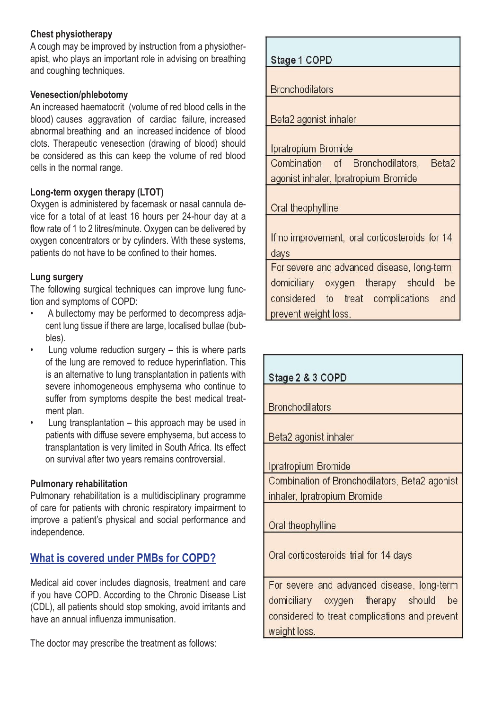#### **Chest physiotherapy**

A cough may be improved by instruction from a physiotherapist, who plays an important role in advising on breathing and coughing techniques.

#### **Venesection/phlebotomy**

An increased haematocrit (volume of red blood cells in the blood) causes aggravation of cardiac failure, increased abnormal breathing and an increased incidence of blood clots. Therapeutic venesection (drawing of blood) should be considered as this can keep the volume of red blood cells in the normal range.

## **Long-term oxygen therapy (LTOT)**

Oxygen is administered by facemask or nasal cannula device for a total of at least 16 hours per 24-hour day at a flow rate of 1 to 2 litres/minute. Oxygen can be delivered by oxygen concentrators or by cylinders. With these systems, patients do not have to be confined to their homes.

## **Lung surgery**

The following surgical techniques can improve lung function and symptoms of COPD:

- A bullectomy may be performed to decompress adjacent lung tissue if there are large, localised bullae (bubbles).
- Lung volume reduction surgery  $-$  this is where parts of the lung are removed to reduce hyperinflation. This is an alternative to lung transplantation in patients with severe inhomogeneous emphysema who continue to suffer from symptoms despite the best medical treatment plan.
- Lung transplantation  $-$  this approach may be used in patients with diffuse severe emphysema, but access to transplantation is very limited in South Africa. Its effect on survival after two years remains controversial.

## **Pulmonary rehabilitation**

Pulmonary rehabilitation is a multidisciplinary programme of care for patients with chronic respiratory impairment to improve a patient's physical and social performance and independence.

# **What is covered under PMBs for COPD?**

Medical aid cover includes diagnosis, treatment and care if you have COPD. According to the Chronic Disease List (CDL), all patients should stop smoking, avoid irritants and have an annual influenza immunisation.

The doctor may prescribe the treatment as follows:

| Stage 1 COPD                                           |  |  |  |  |
|--------------------------------------------------------|--|--|--|--|
| <b>Bronchodilators</b>                                 |  |  |  |  |
| Beta2 agonist inhaler                                  |  |  |  |  |
| Ipratropium Bromide                                    |  |  |  |  |
| Beta <sub>2</sub><br>Combination of Bronchodilators,   |  |  |  |  |
| agonist inhaler, Ipratropium Bromide                   |  |  |  |  |
| Oral theophylline                                      |  |  |  |  |
| If no improvement, oral corticosteroids for 14<br>days |  |  |  |  |
| For severe and advanced disease, long-term             |  |  |  |  |
| domiciliary oxygen therapy should be                   |  |  |  |  |
| considered to treat complications and                  |  |  |  |  |
| prevent weight loss.                                   |  |  |  |  |

| Stage 2 & 3 COPD                                                                                                                       |  |  |  |  |
|----------------------------------------------------------------------------------------------------------------------------------------|--|--|--|--|
| <b>Bronchodilators</b>                                                                                                                 |  |  |  |  |
| Beta2 agonist inhaler                                                                                                                  |  |  |  |  |
| Ipratropium Bromide                                                                                                                    |  |  |  |  |
| Combination of Bronchodilators, Beta2 agonist<br>inhaler, Ipratropium Bromide                                                          |  |  |  |  |
| Oral theophylline                                                                                                                      |  |  |  |  |
| Oral corticosteroids trial for 14 days                                                                                                 |  |  |  |  |
| For severe and advanced disease, long-term<br>be<br>domiciliary oxygen therapy should<br>considered to treat complications and prevent |  |  |  |  |

weight loss.